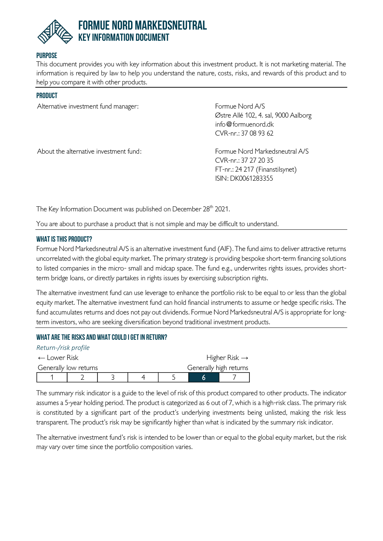

## **Purpose**

This document provides you with key information about this investment product. It is not marketing material. The information is required by law to help you understand the nature, costs, risks, and rewards of this product and to help you compare it with other products.

#### **Product**

Alternative investment fund manager: The South of Formue Nord A/S

Østre Allé 102, 4. sal, 9000 Aalborg [info@formuenord.dk](mailto:info@formuenord.dk) CVR-nr.: 37 08 93 62

About the alternative investment fund: Formue Nord Markedsneutral A/S

CVR-nr.: 37 27 20 35 FT-nr.: 24 217 (Finanstilsynet) ISIN: DK0061283355

The Key Information Document was published on December 28<sup>th</sup> 2021.

You are about to purchase a product that is not simple and may be difficult to understand.

### **What is this product?**

Formue Nord Markedsneutral A/S is an alternative investment fund (AIF). The fund aims to deliver attractive returns uncorrelated with the global equity market. The primary strategy is providing bespoke short-term financing solutions to listed companies in the micro- small and midcap space. The fund e.g., underwrites rights issues, provides shortterm bridge loans, or directly partakes in rights issues by exercising subscription rights.

The alternative investment fund can use leverage to enhance the portfolio risk to be equal to or less than the global equity market. The alternative investment fund can hold financial instruments to assume or hedge specific risks. The fund accumulates returns and does not pay out dividends. Formue Nord Markedsneutral A/S is appropriate for longterm investors, who are seeking diversification beyond traditional investment products.

## **What are the risks and what could I get in return?**

| Return-/risk profile    |  |  |  |                           |                        |  |
|-------------------------|--|--|--|---------------------------|------------------------|--|
| $\leftarrow$ Lower Risk |  |  |  | Higher Risk $\rightarrow$ |                        |  |
| Generally low returns   |  |  |  |                           | Generally high returns |  |
|                         |  |  |  |                           |                        |  |

The summary risk indicator is a guide to the level of risk of this product compared to other products. The indicator assumes a 5-year holding period. The product is categorized as 6 out of 7, which is a high-risk class. The primary risk is constituted by a significant part of the product's underlying investments being unlisted, making the risk less transparent. The product's risk may be significantly higher than what is indicated by the summary risk indicator.

The alternative investment fund's risk is intended to be lower than or equal to the global equity market, but the risk may vary over time since the portfolio composition varies.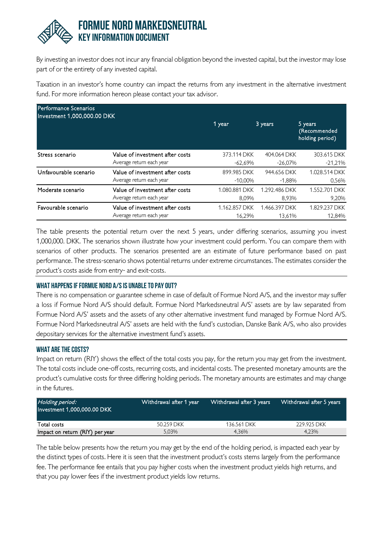

By investing an investor does not incur any financial obligation beyond the invested capital, but the investor may lose part of or the entirety of any invested capital.

Taxation in an investor's home country can impact the returns from any investment in the alternative investment fund. For more information hereon please contact your tax advisor.

| Performance Scenarios<br>Investment 1,000,000.00 DKK |                                 |               |               |                                            |
|------------------------------------------------------|---------------------------------|---------------|---------------|--------------------------------------------|
|                                                      |                                 | 1 year        | 3 years       | 5 years<br>(Recommended<br>holding period) |
| Stress scenario                                      | Value of investment after costs | 373.114 DKK   | 404.064 DKK   | 303.615 DKK                                |
|                                                      | Average return each year        | -62.69%       | $-26.07%$     | $-21,21%$                                  |
| Unfavourable scenario                                | Value of investment after costs | 899.985 DKK   | 944.656 DKK   | 1.028.514 DKK                              |
|                                                      | Average return each year        | $-10,00\%$    | $-1.88%$      | 0.56%                                      |
| Moderate scenario                                    | Value of investment after costs | 1.080.881 DKK | 1.292.486 DKK | 1.552.701 DKK                              |
|                                                      | Average return each year        | 8.09%         | 8.93%         | 9.20%                                      |
| Favourable scenario                                  | Value of investment after costs | 1.162.857 DKK | 1.466.397 DKK | 1.829.237 DKK                              |
|                                                      | Average return each year        | 16.29%        | 13.61%        | 12.84%                                     |

The table presents the potential return over the next 5 years, under differing scenarios, assuming you invest 1,000,000. DKK. The scenarios shown illustrate how your investment could perform. You can compare them with scenarios of other products. The scenarios presented are an estimate of future performance based on past performance. The stress-scenario shows potential returns under extreme circumstances. The estimates consider the product's costs aside from entry- and exit-costs.

## **What happens if Formue Nord A/Sis unable to pay out?**

There is no compensation or guarantee scheme in case of default of Formue Nord A/S, and the investor may suffer a loss if Formue Nord A/S should default. Formue Nord Markedsneutral A/S' assets are by law separated from Formue Nord A/S' assets and the assets of any other alternative investment fund managed by Formue Nord A/S. Formue Nord Markedsneutral A/S' assets are held with the fund's custodian, Danske Bank A/S, who also provides depositary services for the alternative investment fund's assets.

#### **What are the costs?**

Impact on return (RIY) shows the effect of the total costs you pay, for the return you may get from the investment. The total costs include one-off costs, recurring costs, and incidental costs. The presented monetary amounts are the product's cumulative costs for three differing holding periods. The monetary amounts are estimates and may change in the futures.

| Holding period:<br>Investment 1,000,000.00 DKK | Withdrawal after 1 year | Withdrawal after 3 years | Withdrawal after 5 years |
|------------------------------------------------|-------------------------|--------------------------|--------------------------|
| Total costs                                    | 50.259 DKK              | 136.561 DKK              | 229.925 DKK              |
| Impact on return (RIY) per year                | 5.03%                   | 4.36%                    | 4.23%                    |

The table below presents how the return you may get by the end of the holding period, is impacted each year by the distinct types of costs. Here it is seen that the investment product's costs stems largely from the performance fee. The performance fee entails that you pay higher costs when the investment product yields high returns, and that you pay lower fees if the investment product yields low returns.